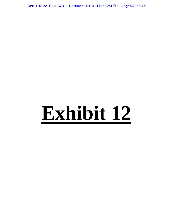Case 1:13-cv-03675-WBH Document 108-4 Filed 12/30/16 Page 547 of 586

# **Exhibit 12**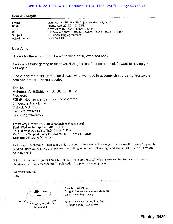## Denise Forsyth

| From:               | Mahmoud A. ElSohly, Ph.D. [elsohly@elsohly.com]                 |
|---------------------|-----------------------------------------------------------------|
| Sent:               | Friday, April 22, 2011 2:12 PM                                  |
| To:                 | 'Amy Eichner, Ph.D.'; 'Ikhias A. Khan'                          |
| $Cc$ :              | 'Johncie Wingard'; 'Larry D. Bowers, Ph.D.'; 'Travis T. Tygart' |
| Subject:            | <b>RE: Consulting Agreement</b>                                 |
| <b>Attachments:</b> | File0252.PDF                                                    |

Dear Amy,

Thanks for the agreement. I am attaching a fully executed copy,

It was a pleasure getting to meet you during the conference and look forward to having you visit again.

Please give me a call so we can discuss what we need to accomplish in order to finalize the data and prepare the manuscript.

Thanks, Mahmoud A. EISohly, Ph.D., BCFE, BCFM President PSI (Phytochemical Services, Incorporated) 5 Industrial Park Drive Oxford, MS 38655 Tel (662) 236-2609 Fax (662) 234-0253

From: Amy Eichner, Ph.D. [mailto: A Eichner@usada.org] Sent: Wednesday, April 20, 2011 5:10 PM To: Mahmoud A. EISohly, Ph.D.; Ikhlas A. Khan Cc: Johncie Wingard; Larry D. Bowers, Ph.D.; Travis T. Tygart Subject: Consulting Agreement

Hi Ikhlas and Mahmoud! I had so much fun at your conference, and Ikhlas your "show me the money" tag really worked. Here you will find and executed consulting agreement. Please sign and scan a COLOR COPY to return to us by emaiL.

What are our next steps for finalizing and buttoning up the data? We are very excited to review the data in detail and prepare a manuscript for publication in a peer reviewed journaL.

Warmest regards, Amy

**BU** USADA  $\frac{1}{2}$  $\tau$ en *Years*  $\gamma$ *ed is a dee Clean*  $S_1$ <sup>ork</sup> ¡ooo- io 1 0

Amy Eichner Ph.D. Drug References Resources Manager US Anti-Doping Agency

 $\mathbb{E}[\mathbf{X}^{(n)}] = \mathbb{E}[\mathbf{X}^{(n)}] \mathbb{E}[\mathbf{X}^{(n)}] = \mathbb{E}[\mathbf{X}^{(n)}] \mathbb{E}[\mathbf{X}^{(n)}] = \mathbb{E}[\mathbf{X}^{(n)}] \mathbb{E}[\mathbf{X}^{(n)}] = \mathbb{E}[\mathbf{X}^{(n)}] = \mathbb{E}[\mathbf{X}^{(n)}] = \mathbb{E}[\mathbf{X}^{(n)}] = \mathbb{E}[\mathbf{X}^{(n)}] = \mathbb{E}[\mathbf{X}^{(n)}] = \mathbb{E}[\$ 

5555 Tech Center Drive, Suite 200 Colorado Springs, CO 80919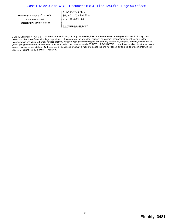Inspiring true soon, Protecting the rights of athletes. Preserving the integrity of competition. 7 i 9-785-2043 Phone 866-601-2632 Toll Free 7 i 9-785-200 i Fax

aeichner@usada.org

CONFIDENTIALITY NOTICE - This e-mail transmission, and any documents, files or previous e-mail messages attached to it, may contain information that is confidential or legally privileged. If you are not the intended recipient, or a person responsible for delivering it to the intended recipient, you are hereby notified that you must not read this transmission and that any disclosure, copying, printing, distribution or use of any of the information contained in or attached to this transmission is STRICTLY PROHIBITED. If you have received this transmission in error, please immediately notify the sender by telephone or return e-mail and delete the original transmission and its attachments without reading or saving in any manner. Thank you.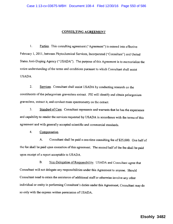#### CONSULTING AGREEMENT

1. Parties. This consulting agreement ("Agreement") is entered into effective February I, 2011, between Phytochemical Services, Incorporated ("Consultant'') and United States Anti-Doping Agency ("USADA"). The purpose of this Agreement is to memorialize the entire understanding of the terms and conditions pursuant to which Consultant shall assist USADA.

2. Services. Consultant shall assist USADA by conducting research on the constituents of the pelargonium graveolens extract. PSI wil identify and obtain pelargonium graveolens, extract it, and conduct mass spectrometry on the extract.

3. Standard of Care. Consultant represents and warrants that he has the experience and capability to render the services requested by USADA in accordance with the terms of this agreement and with generally accepted scientific and commercial standards.

4. Compensation.

A. Consultant shall be paid a one-time consulting fee of \$25,000. One half of the fee shall be paid upon execution of this agreement. The second half of the fee shall be paid upon receipt of a report acceptable to USADA.

B. Non-Delegation of Responsibility. USADA and Consultant agree that Consultant will not delegate any responsibilities under this Agreement to anyone. Should Consultant need to retain the assistance of additional staff or otherwise involve any other individual or entity in performing Consultant's duties under this Agreement, Consultant may do so only with the express written permission of USADA.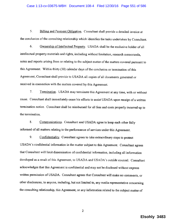5. Biling and Payment Obligation. Consultant shall provide a detailed invoice at the conclusion of the consulting relationship which identifies the tasks undertaken by Consultant.

6. Ownership of Intellectual Property. USADA shall be the exclusive holder of all intellectual property materials and rights, including without limitation, research memoranda, notes and reports arising from or relating to the subject matter of the matters covered pursuant to this Agreement. Within thirty (30) calendar days of the conclusion or termination of this Agreement, Consultant shall provide to USADA all copies of all documents generated or received in connection with the matters covered by this Agreement.

7. Termination. USADA may terminate this Agreement at any time, with or without cause. Consultant shall immediately cease his efforts to assist USADA upon receipt of a written termination notice. Consultant shall be reimbursed for all fees and costs properly incurred up to the tennination.

8. Communications. Consultant and USADA agree to keep each other fully informed of all matters relating to the performance of services under this Agreement.

9. Confidentiality. Consultant agrees to take extraordinary steps to protect USADA's confidential information in the matter subject to this Agreement. Consultant agrees that Consultant will limit dissemination of confidential information, including all infonnation developed as a result of this Agreement, to USADA and USADA's outside counsel. Consultant acknowledges that this Agreement is confidential and may not be disclosed without express written permission of USADA. Consultant agrees that Consultant will make no comments, or other disclosures, to anyone, including, but not limited to, any media representative concerning the consulting relationship, this Agreement, or any information related to the subject matter of

**Elsohly 3483** 

2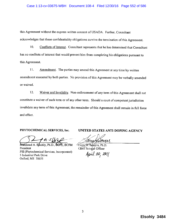## Case 1:13-cv-03675-WBH Document 108-4 Filed 12/30/16 Page 552 of 586

this Agreement without the express written consent of USADA. Further, Consultant acknowledges that these confidentiality obligations survive the termination of this Agreement.

 $10.$ Conflicts of Interest. Consultant represents that he has determined that Consultant has no conflicts of interest that would prevent him from completing his obligations pursuant to this Agreement.

Amendment. The parties may amend this Agreement at any time by written  $11.$ amendment executed by both parties. No provision of this Agreement may be verbally amended or waived.

12. Waiver and Invalidity. Non-enforcement of any term of this Agreement shall not constitute a waiver of such term or of any other term. Should a court of competent jurisdiction invalidate any term of this Agreement, the remainder of this Agreement shall remain in full force and effect.

## PHYTOCHEMICAL SERVICES, Inc.

**BEPE, BCFM** Mahmoud A. Elsohly, Ph.D., President PSI (Phytochemical Services, Incorporated) 5 Industrial Park Drive Oxford, MS 38655

UNITED STATES ANTI-DOPING AGENCY

arrune

*Karpy D. Boxvers, Ph.D.* Chief Science Officer April 20, 2011

Elsohly 3484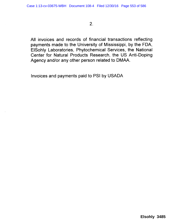$2<sub>1</sub>$ 

All invoices and records of financial transactions reflecting payments made to the University of Mississippi, by the FDA, ElSohly Laboratories, Phytochemical Services, the National Center for Natural Products Research, the US Anti-Doping Agency and/or any other person related to DMAA.

Invoices and payments paid to PSI by USADA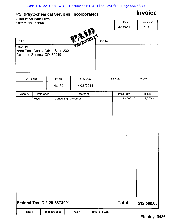## PSI (Phytochemical Services, Incorporated)

# Invoice

5 Industrial Park Drive Date | Invoice # Oxford, MS 38655 4/28/2011 1019  $\frac{1}{2}$   $\frac{1}{2}$   $\frac{1}{2}$   $\frac{20}{2}$ Ship To Bill To USADA 5555 Tech Center Drive, Suite 200 Colorado Springs, CO 80919

| P.O. Number                 |           |                | Terms         | Ship Date                   |                | Ship Via     | F.O.B.      |
|-----------------------------|-----------|----------------|---------------|-----------------------------|----------------|--------------|-------------|
|                             |           |                | <b>Net 30</b> | 4/28/2011                   |                |              |             |
| Quantity                    | Item Code |                |               | Description                 |                | Price Each   | Amount      |
| $\mathbf{1}$                | Fees      |                |               | <b>Consulting Agreement</b> |                | 12,500.00    | 12,500.00   |
| Federal Tax ID # 20-3873901 |           |                |               |                             |                | <b>Total</b> | \$12,500.00 |
| Phone #                     |           | (662) 236-2609 |               | Fax#                        | (662) 234-0253 |              |             |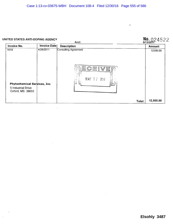#### $N_0.024522$ UNITED STATES ANTI-DOPING AGENCY Acct: Invoice No. **Invoice Date Description Amount**  $\frac{1}{1019}$ 4/28/2011 **Consulting Agreement** 12500.00 CEIVE 旨 MAY 17 2011 IJ Phytochemical Services, Inc 5 Industrial Drive Oxford, MS 38655 12,500.00 Total:

 $\ddot{\varepsilon}$ 

 $\mathcal{L}_{\mathcal{A}}$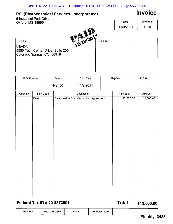## PSI (Phytochemical Services, Incorporated)

# Invoice

5 Industrial Park Drive Date | Invoice # Oxford, MS 38655 11/9/2011 1028 **1** 19/201 Bill To Ship To USADA 5555 Tech Center Drive, Suite 200 Colorado Springs, CO 80919

| P.O. Number                 |           |                | Terms         |                                       | Ship Date   |                | Ship Via     | F.O.B.      |
|-----------------------------|-----------|----------------|---------------|---------------------------------------|-------------|----------------|--------------|-------------|
|                             |           |                | <b>Net 30</b> |                                       | 11/9/2011   |                |              |             |
| Quantity                    | Item Code |                |               |                                       | Description |                | Price Each   | Amount      |
| $\mathbf{1}$                | Fees      |                |               | Balance due from Consulting Agreement |             |                | 12,500.00    | 12,500.00   |
| Federal Tax ID # 20-3873901 |           |                |               |                                       |             |                | <b>Total</b> | \$12,500.00 |
| Phone #                     |           | (662) 236-2609 |               | Fax#                                  |             | (662) 234-0253 |              |             |